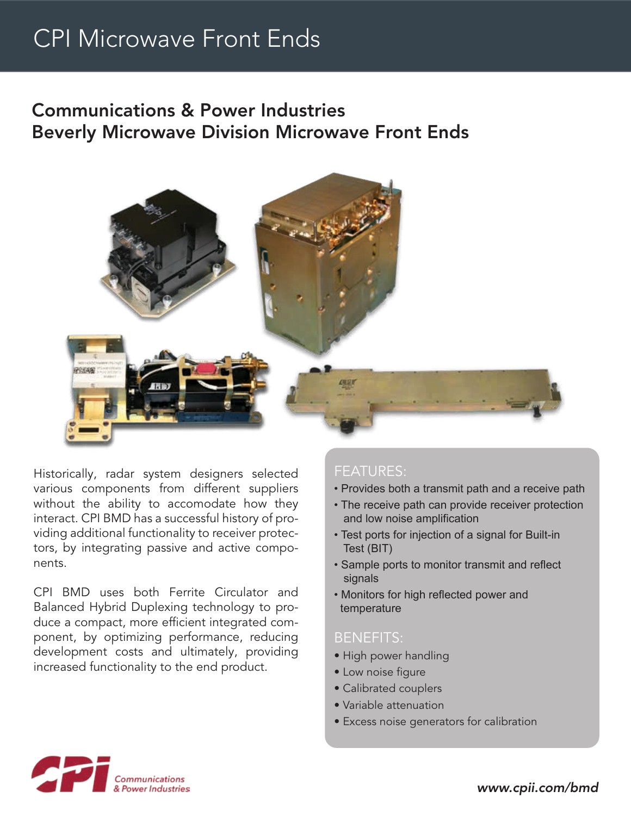## CPI Microwave Front Ends

### Communications & Power Industries Beverly Microwave Division Microwave Front Ends



Historically, radar system designers selected various components from different suppliers without the ability to accomodate how they interact. CPI BMD has a successful history of providing additional functionality to receiver protectors, by integrating passive and active components.

CPI BMD uses both Ferrite Circulator and Balanced Hybrid Duplexing technology to produce a compact, more efficient integrated component, by optimizing performance, reducing development costs and ultimately, providing increased functionality to the end product.

### FEATURES:

- Provides both a transmit path and a receive path
- The receive path can provide receiver protection and low noise amplification
- Test ports for injection of a signal for Built-in Test (BIT)
- Sample ports to monitor transmit and reflect signals
- Monitors for high reflected power and temperature

#### BENEFITS:

- High power handling
- Low noise figure
- Calibrated couplers
- Variable attenuation
- Excess noise generators for calibration



*www.cpii.com/bmd*